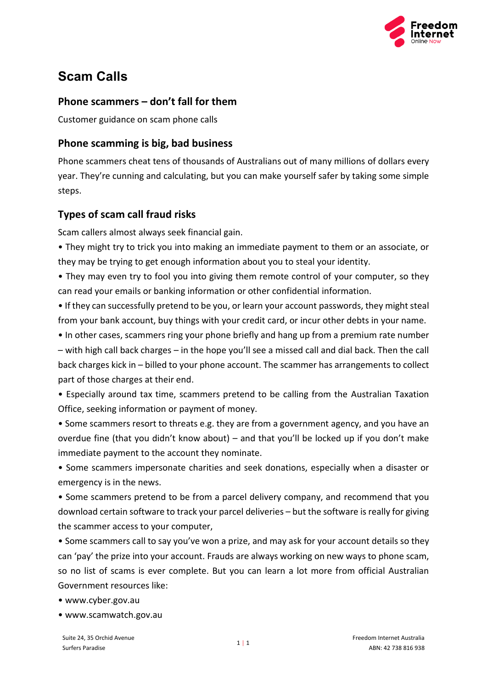

# **Scam Calls**

## **Phone scammers – don't fall for them**

Customer guidance on scam phone calls

## **Phone scamming is big, bad business**

Phone scammers cheat tens of thousands of Australians out of many millions of dollars every year. They're cunning and calculating, but you can make yourself safer by taking some simple steps.

## **Types of scam call fraud risks**

Scam callers almost always seek financial gain.

• They might try to trick you into making an immediate payment to them or an associate, or they may be trying to get enough information about you to steal your identity.

• They may even try to fool you into giving them remote control of your computer, so they can read your emails or banking information or other confidential information.

• If they can successfully pretend to be you, or learn your account passwords, they might steal from your bank account, buy things with your credit card, or incur other debts in your name.

• In other cases, scammers ring your phone briefly and hang up from a premium rate number – with high call back charges – in the hope you'll see a missed call and dial back. Then the call back charges kick in – billed to your phone account. The scammer has arrangements to collect part of those charges at their end.

• Especially around tax time, scammers pretend to be calling from the Australian Taxation Office, seeking information or payment of money.

• Some scammers resort to threats e.g. they are from a government agency, and you have an overdue fine (that you didn't know about) – and that you'll be locked up if you don't make immediate payment to the account they nominate.

• Some scammers impersonate charities and seek donations, especially when a disaster or emergency is in the news.

• Some scammers pretend to be from a parcel delivery company, and recommend that you download certain software to track your parcel deliveries – but the software is really for giving the scammer access to your computer,

• Some scammers call to say you've won a prize, and may ask for your account details so they can 'pay' the prize into your account. Frauds are always working on new ways to phone scam, so no list of scams is ever complete. But you can learn a lot more from official Australian Government resources like:

• www.cyber.gov.au

• www.scamwatch.gov.au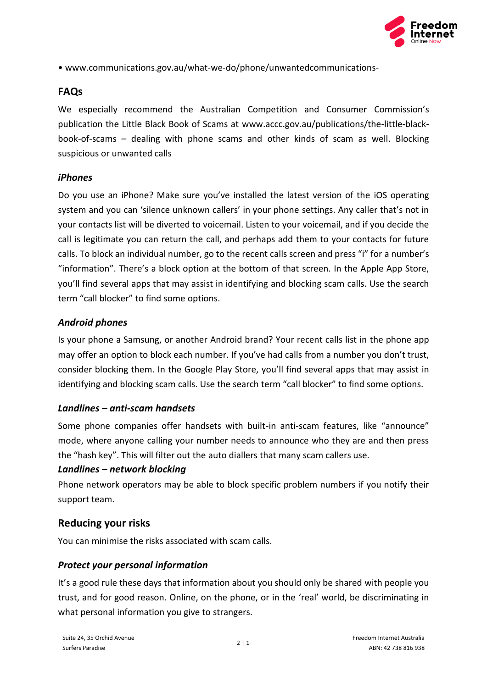

• www.communications.gov.au/what-we-do/phone/unwantedcommunications-

#### **FAQs**

We especially recommend the Australian Competition and Consumer Commission's publication the Little Black Book of Scams at www.accc.gov.au/publications/the-little-blackbook-of-scams – dealing with phone scams and other kinds of scam as well. Blocking suspicious or unwanted calls

#### *iPhones*

Do you use an iPhone? Make sure you've installed the latest version of the iOS operating system and you can 'silence unknown callers' in your phone settings. Any caller that's not in your contacts list will be diverted to voicemail. Listen to your voicemail, and if you decide the call is legitimate you can return the call, and perhaps add them to your contacts for future calls. To block an individual number, go to the recent calls screen and press "i" for a number's "information". There's a block option at the bottom of that screen. In the Apple App Store, you'll find several apps that may assist in identifying and blocking scam calls. Use the search term "call blocker" to find some options.

#### *Android phones*

Is your phone a Samsung, or another Android brand? Your recent calls list in the phone app may offer an option to block each number. If you've had calls from a number you don't trust, consider blocking them. In the Google Play Store, you'll find several apps that may assist in identifying and blocking scam calls. Use the search term "call blocker" to find some options.

#### *Landlines – anti-scam handsets*

Some phone companies offer handsets with built-in anti-scam features, like "announce" mode, where anyone calling your number needs to announce who they are and then press the "hash key". This will filter out the auto diallers that many scam callers use.

#### *Landlines – network blocking*

Phone network operators may be able to block specific problem numbers if you notify their support team.

#### **Reducing your risks**

You can minimise the risks associated with scam calls.

#### *Protect your personal information*

It's a good rule these days that information about you should only be shared with people you trust, and for good reason. Online, on the phone, or in the 'real' world, be discriminating in what personal information you give to strangers.

 $2 | 1$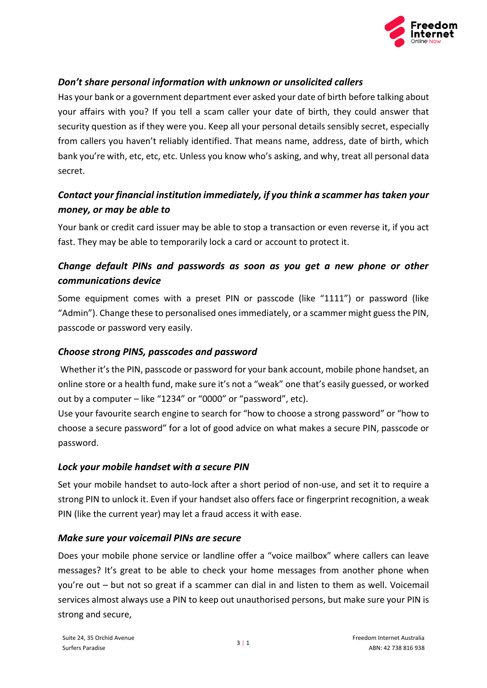

#### *Don't share personal information with unknown or unsolicited callers*

Has your bank or a government department ever asked your date of birth before talking about your affairs with you? If you tell a scam caller your date of birth, they could answer that security question as if they were you. Keep all your personal details sensibly secret, especially from callers you haven't reliably identified. That means name, address, date of birth, which bank you're with, etc, etc, etc. Unless you know who's asking, and why, treat all personal data secret.

## *Contact your financial institution immediately, if you think a scammer has taken your money, or may be able to*

Your bank or credit card issuer may be able to stop a transaction or even reverse it, if you act fast. They may be able to temporarily lock a card or account to protect it.

## *Change default PINs and passwords as soon as you get a new phone or other communications device*

Some equipment comes with a preset PIN or passcode (like "1111") or password (like "Admin"). Change these to personalised ones immediately, or a scammer might guess the PIN, passcode or password very easily.

#### *Choose strong PINS, passcodes and password*

Whether it's the PIN, passcode or password for your bank account, mobile phone handset, an online store or a health fund, make sure it's not a "weak" one that's easily guessed, or worked out by a computer – like "1234" or "0000" or "password", etc).

Use your favourite search engine to search for "how to choose a strong password" or "how to choose a secure password" for a lot of good advice on what makes a secure PIN, passcode or password.

#### *Lock your mobile handset with a secure PIN*

Set your mobile handset to auto-lock after a short period of non-use, and set it to require a strong PIN to unlock it. Even if your handset also offers face or fingerprint recognition, a weak PIN (like the current year) may let a fraud access it with ease.

#### *Make sure your voicemail PINs are secure*

Does your mobile phone service or landline offer a "voice mailbox" where callers can leave messages? It's great to be able to check your home messages from another phone when you're out – but not so great if a scammer can dial in and listen to them as well. Voicemail services almost always use a PIN to keep out unauthorised persons, but make sure your PIN is strong and secure,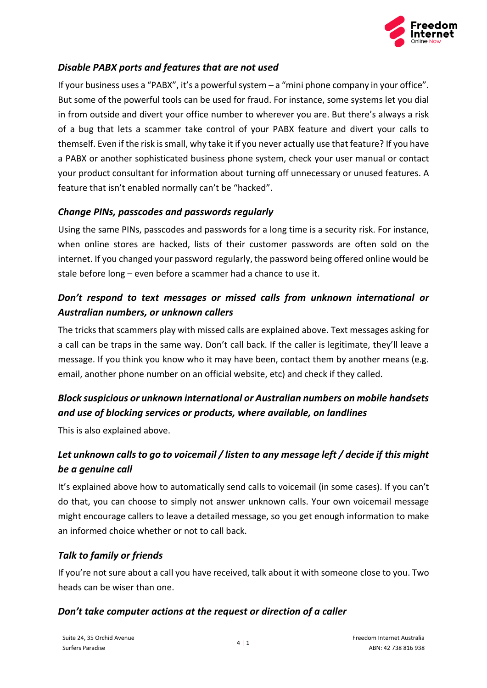

#### *Disable PABX ports and features that are not used*

If your business uses a "PABX", it's a powerful system – a "mini phone company in your office". But some of the powerful tools can be used for fraud. For instance, some systems let you dial in from outside and divert your office number to wherever you are. But there's always a risk of a bug that lets a scammer take control of your PABX feature and divert your calls to themself. Even if the risk is small, why take it if you never actually use that feature? If you have a PABX or another sophisticated business phone system, check your user manual or contact your product consultant for information about turning off unnecessary or unused features. A feature that isn't enabled normally can't be "hacked".

#### *Change PINs, passcodes and passwords regularly*

Using the same PINs, passcodes and passwords for a long time is a security risk. For instance, when online stores are hacked, lists of their customer passwords are often sold on the internet. If you changed your password regularly, the password being offered online would be stale before long – even before a scammer had a chance to use it.

## *Don't respond to text messages or missed calls from unknown international or Australian numbers, or unknown callers*

The tricks that scammers play with missed calls are explained above. Text messages asking for a call can be traps in the same way. Don't call back. If the caller is legitimate, they'll leave a message. If you think you know who it may have been, contact them by another means (e.g. email, another phone number on an official website, etc) and check if they called.

# *Block suspicious or unknown international or Australian numbers on mobile handsets and use of blocking services or products, where available, on landlines*

This is also explained above.

# *Let unknown calls to go to voicemail / listen to any message left / decide if this might be a genuine call*

It's explained above how to automatically send calls to voicemail (in some cases). If you can't do that, you can choose to simply not answer unknown calls. Your own voicemail message might encourage callers to leave a detailed message, so you get enough information to make an informed choice whether or not to call back.

#### *Talk to family or friends*

If you're not sure about a call you have received, talk about it with someone close to you. Two heads can be wiser than one.

#### *Don't take computer actions at the request or direction of a caller*